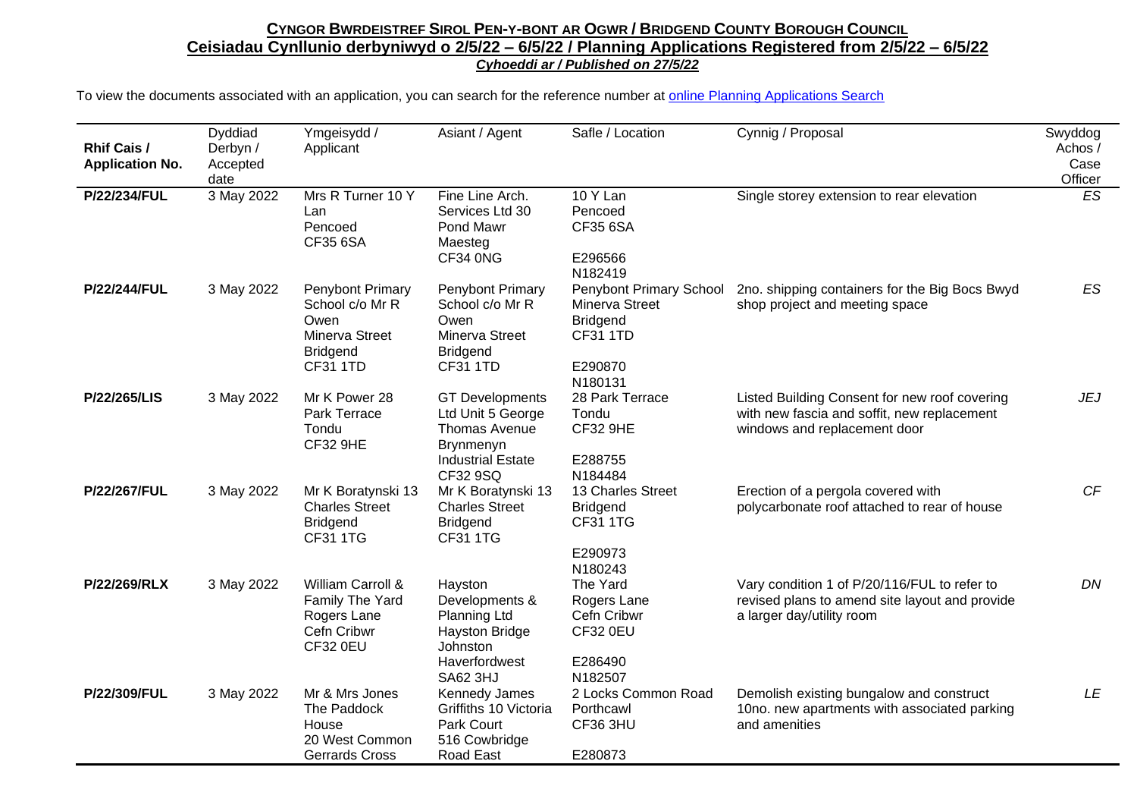| <b>Rhif Cais /</b><br><b>Application No.</b> | Dyddiad<br>Derbyn /<br>Accepted<br>date | Ymgeisydd /<br>Applicant                                                                            | Asiant / Agent                                                                                                           | Safle / Location                                                                                      | Cynnig / Proposal                                                                                                            | Swyddog<br>Achos /<br>Case<br>Officer |
|----------------------------------------------|-----------------------------------------|-----------------------------------------------------------------------------------------------------|--------------------------------------------------------------------------------------------------------------------------|-------------------------------------------------------------------------------------------------------|------------------------------------------------------------------------------------------------------------------------------|---------------------------------------|
| P/22/234/FUL                                 | 3 May 2022                              | Mrs R Turner 10 Y<br>Lan<br>Pencoed<br><b>CF35 6SA</b>                                              | Fine Line Arch.<br>Services Ltd 30<br>Pond Mawr<br>Maesteg<br>CF34 0NG                                                   | 10 Y Lan<br>Pencoed<br>CF35 6SA<br>E296566<br>N182419                                                 | Single storey extension to rear elevation                                                                                    | ES                                    |
| P/22/244/FUL                                 | 3 May 2022                              | Penybont Primary<br>School c/o Mr R<br>Owen<br>Minerva Street<br><b>Bridgend</b><br><b>CF31 1TD</b> | Penybont Primary<br>School c/o Mr R<br>Owen<br>Minerva Street<br><b>Bridgend</b><br><b>CF31 1TD</b>                      | Penybont Primary School<br>Minerva Street<br><b>Bridgend</b><br><b>CF31 1TD</b><br>E290870<br>N180131 | 2no. shipping containers for the Big Bocs Bwyd<br>shop project and meeting space                                             | ES                                    |
| P/22/265/LIS                                 | 3 May 2022                              | Mr K Power 28<br>Park Terrace<br>Tondu<br><b>CF32 9HE</b>                                           | <b>GT Developments</b><br>Ltd Unit 5 George<br>Thomas Avenue<br><b>Brynmenyn</b><br><b>Industrial Estate</b><br>CF32 9SQ | 28 Park Terrace<br>Tondu<br><b>CF32 9HE</b><br>E288755<br>N184484                                     | Listed Building Consent for new roof covering<br>with new fascia and soffit, new replacement<br>windows and replacement door | <b>JEJ</b>                            |
| P/22/267/FUL                                 | 3 May 2022                              | Mr K Boratynski 13<br><b>Charles Street</b><br><b>Bridgend</b><br><b>CF31 1TG</b>                   | Mr K Boratynski 13<br><b>Charles Street</b><br><b>Bridgend</b><br><b>CF31 1TG</b>                                        | 13 Charles Street<br><b>Bridgend</b><br><b>CF31 1TG</b><br>E290973<br>N180243                         | Erection of a pergola covered with<br>polycarbonate roof attached to rear of house                                           | CF                                    |
| P/22/269/RLX                                 | 3 May 2022                              | William Carroll &<br>Family The Yard<br>Rogers Lane<br>Cefn Cribwr<br><b>CF32 0EU</b>               | Hayston<br>Developments &<br>Planning Ltd<br>Hayston Bridge<br>Johnston<br>Haverfordwest<br><b>SA62 3HJ</b>              | The Yard<br>Rogers Lane<br>Cefn Cribwr<br><b>CF32 0EU</b><br>E286490<br>N182507                       | Vary condition 1 of P/20/116/FUL to refer to<br>revised plans to amend site layout and provide<br>a larger day/utility room  | DN                                    |
| P/22/309/FUL                                 | 3 May 2022                              | Mr & Mrs Jones<br>The Paddock<br>House<br>20 West Common<br><b>Gerrards Cross</b>                   | Kennedy James<br>Griffiths 10 Victoria<br>Park Court<br>516 Cowbridge<br>Road East                                       | 2 Locks Common Road<br>Porthcawl<br><b>CF36 3HU</b><br>E280873                                        | Demolish existing bungalow and construct<br>10no. new apartments with associated parking<br>and amenities                    | LE                                    |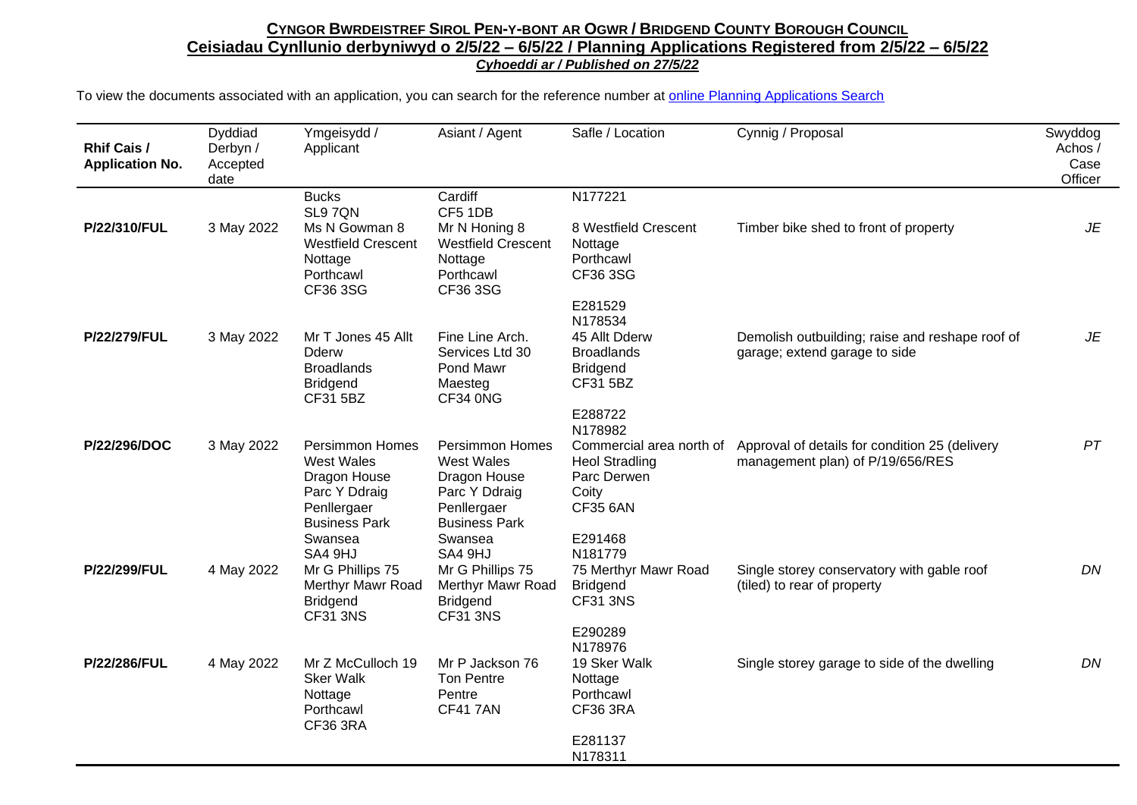| Rhif Cais /<br><b>Application No.</b> | Dyddiad<br>Derbyn /<br>Accepted<br>date | Ymgeisydd /<br>Applicant                                                                                            | Asiant / Agent                                                                                                      | Safle / Location                                                                             | Cynnig / Proposal                                                                  | Swyddog<br>Achos /<br>Case<br>Officer |
|---------------------------------------|-----------------------------------------|---------------------------------------------------------------------------------------------------------------------|---------------------------------------------------------------------------------------------------------------------|----------------------------------------------------------------------------------------------|------------------------------------------------------------------------------------|---------------------------------------|
|                                       |                                         | <b>Bucks</b><br>SL97ON                                                                                              | Cardiff<br>CF5 1DB                                                                                                  | N177221                                                                                      |                                                                                    |                                       |
| P/22/310/FUL                          | 3 May 2022                              | Ms N Gowman 8<br><b>Westfield Crescent</b><br>Nottage<br>Porthcawl<br>CF36 3SG                                      | Mr N Honing 8<br><b>Westfield Crescent</b><br>Nottage<br>Porthcawl<br>CF36 3SG                                      | 8 Westfield Crescent<br>Nottage<br>Porthcawl<br>CF36 3SG                                     | Timber bike shed to front of property                                              | JE                                    |
|                                       |                                         |                                                                                                                     |                                                                                                                     | E281529<br>N178534                                                                           |                                                                                    |                                       |
| P/22/279/FUL                          | 3 May 2022                              | Mr T Jones 45 Allt<br><b>Dderw</b><br><b>Broadlands</b><br><b>Bridgend</b><br>CF31 5BZ                              | Fine Line Arch.<br>Services Ltd 30<br>Pond Mawr<br>Maesteg<br>CF34 0NG                                              | 45 Allt Dderw<br><b>Broadlands</b><br><b>Bridgend</b><br>CF31 5BZ                            | Demolish outbuilding; raise and reshape roof of<br>garage; extend garage to side   | JE                                    |
|                                       |                                         |                                                                                                                     |                                                                                                                     | E288722<br>N178982                                                                           |                                                                                    |                                       |
| P/22/296/DOC                          | 3 May 2022                              | <b>Persimmon Homes</b><br><b>West Wales</b><br>Dragon House<br>Parc Y Ddraig<br>Penllergaer<br><b>Business Park</b> | <b>Persimmon Homes</b><br><b>West Wales</b><br>Dragon House<br>Parc Y Ddraig<br>Penllergaer<br><b>Business Park</b> | Commercial area north of<br><b>Heol Stradling</b><br>Parc Derwen<br>Coity<br><b>CF35 6AN</b> | Approval of details for condition 25 (delivery<br>management plan) of P/19/656/RES | PT                                    |
|                                       |                                         | Swansea<br>SA4 9HJ                                                                                                  | Swansea<br>SA4 9HJ                                                                                                  | E291468<br>N181779                                                                           |                                                                                    |                                       |
| P/22/299/FUL                          | 4 May 2022                              | Mr G Phillips 75<br>Merthyr Mawr Road<br><b>Bridgend</b><br><b>CF31 3NS</b>                                         | Mr G Phillips 75<br>Merthyr Mawr Road<br><b>Bridgend</b><br><b>CF31 3NS</b>                                         | 75 Merthyr Mawr Road<br><b>Bridgend</b><br><b>CF31 3NS</b>                                   | Single storey conservatory with gable roof<br>(tiled) to rear of property          | DN                                    |
|                                       |                                         |                                                                                                                     |                                                                                                                     | E290289<br>N178976                                                                           |                                                                                    |                                       |
| P/22/286/FUL                          | 4 May 2022                              | Mr Z McCulloch 19<br><b>Sker Walk</b><br>Nottage<br>Porthcawl<br>CF36 3RA                                           | Mr P Jackson 76<br><b>Ton Pentre</b><br>Pentre<br><b>CF417AN</b>                                                    | 19 Sker Walk<br>Nottage<br>Porthcawl<br><b>CF36 3RA</b>                                      | Single storey garage to side of the dwelling                                       | DN                                    |
|                                       |                                         |                                                                                                                     |                                                                                                                     | E281137<br>N178311                                                                           |                                                                                    |                                       |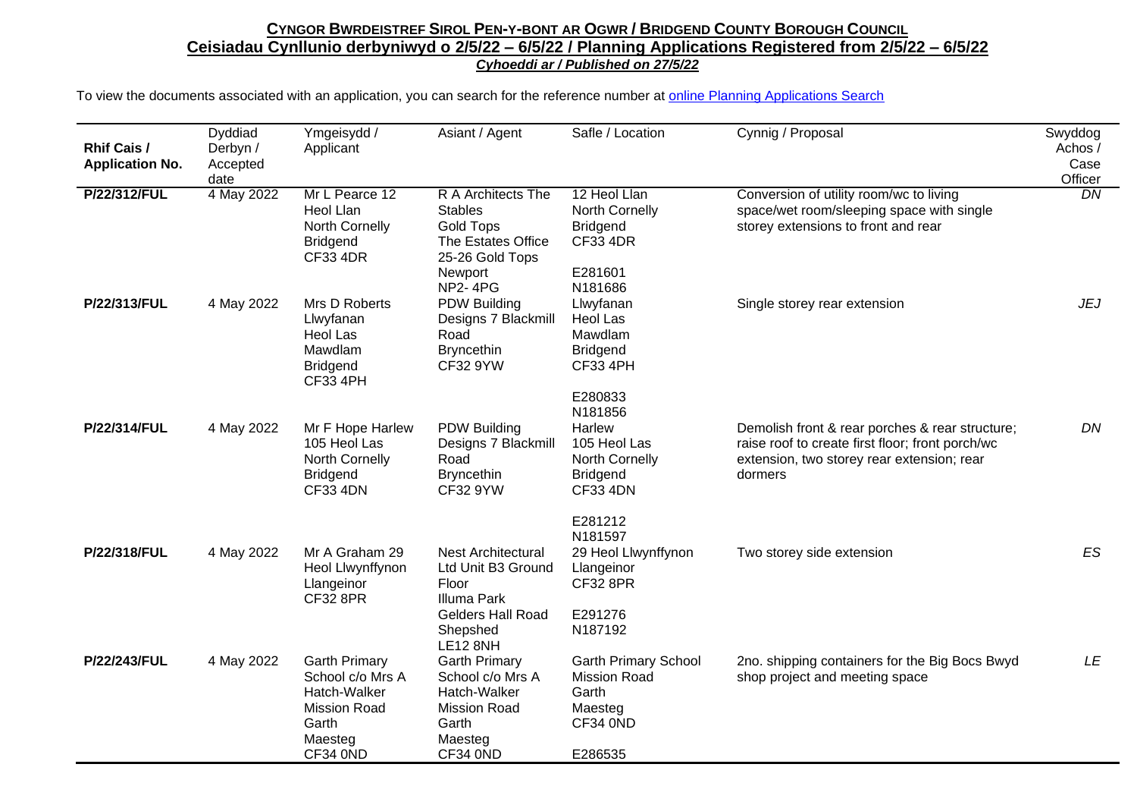| <b>Rhif Cais /</b><br><b>Application No.</b> | Dyddiad<br>Derbyn /<br>Accepted<br>date | Ymgeisydd /<br>Applicant                                                                                        | Asiant / Agent                                                                                                                            | Safle / Location                                                                                     | Cynnig / Proposal                                                                                                                                            | Swyddog<br>Achos /<br>Case<br>Officer |
|----------------------------------------------|-----------------------------------------|-----------------------------------------------------------------------------------------------------------------|-------------------------------------------------------------------------------------------------------------------------------------------|------------------------------------------------------------------------------------------------------|--------------------------------------------------------------------------------------------------------------------------------------------------------------|---------------------------------------|
| P/22/312/FUL                                 | 4 May 2022                              | Mr L Pearce 12<br><b>Heol Llan</b><br>North Cornelly<br><b>Bridgend</b><br><b>CF33 4DR</b>                      | R A Architects The<br><b>Stables</b><br><b>Gold Tops</b><br>The Estates Office<br>25-26 Gold Tops<br>Newport<br><b>NP2-4PG</b>            | 12 Heol Llan<br>North Cornelly<br><b>Bridgend</b><br><b>CF33 4DR</b><br>E281601<br>N181686           | Conversion of utility room/wc to living<br>space/wet room/sleeping space with single<br>storey extensions to front and rear                                  | $\overline{DN}$                       |
| P/22/313/FUL                                 | 4 May 2022                              | Mrs D Roberts<br>Llwyfanan<br>Heol Las<br>Mawdlam<br><b>Bridgend</b><br><b>CF33 4PH</b>                         | <b>PDW Building</b><br>Designs 7 Blackmill<br>Road<br><b>Bryncethin</b><br><b>CF32 9YW</b>                                                | Llwyfanan<br>Heol Las<br>Mawdlam<br><b>Bridgend</b><br><b>CF33 4PH</b><br>E280833                    | Single storey rear extension                                                                                                                                 | <b>JEJ</b>                            |
| P/22/314/FUL                                 | 4 May 2022                              | Mr F Hope Harlew<br>105 Heol Las<br>North Cornelly<br><b>Bridgend</b><br><b>CF33 4DN</b>                        | <b>PDW Building</b><br>Designs 7 Blackmill<br>Road<br><b>Bryncethin</b><br>CF32 9YW                                                       | N181856<br>Harlew<br>105 Heol Las<br>North Cornelly<br><b>Bridgend</b><br><b>CF33 4DN</b><br>E281212 | Demolish front & rear porches & rear structure;<br>raise roof to create first floor; front porch/wc<br>extension, two storey rear extension; rear<br>dormers | DN                                    |
| P/22/318/FUL                                 | 4 May 2022                              | Mr A Graham 29<br>Heol Llwynffynon<br>Llangeinor<br><b>CF32 8PR</b>                                             | <b>Nest Architectural</b><br>Ltd Unit B3 Ground<br>Floor<br><b>Illuma Park</b><br><b>Gelders Hall Road</b><br>Shepshed<br><b>LE12 8NH</b> | N181597<br>29 Heol Llwynffynon<br>Llangeinor<br><b>CF32 8PR</b><br>E291276<br>N187192                | Two storey side extension                                                                                                                                    | <b>ES</b>                             |
| P/22/243/FUL                                 | 4 May 2022                              | <b>Garth Primary</b><br>School c/o Mrs A<br>Hatch-Walker<br><b>Mission Road</b><br>Garth<br>Maesteg<br>CF34 0ND | <b>Garth Primary</b><br>School c/o Mrs A<br>Hatch-Walker<br><b>Mission Road</b><br>Garth<br>Maesteg<br>CF34 0ND                           | <b>Garth Primary School</b><br><b>Mission Road</b><br>Garth<br>Maesteg<br>CF34 0ND<br>E286535        | 2no. shipping containers for the Big Bocs Bwyd<br>shop project and meeting space                                                                             | LE                                    |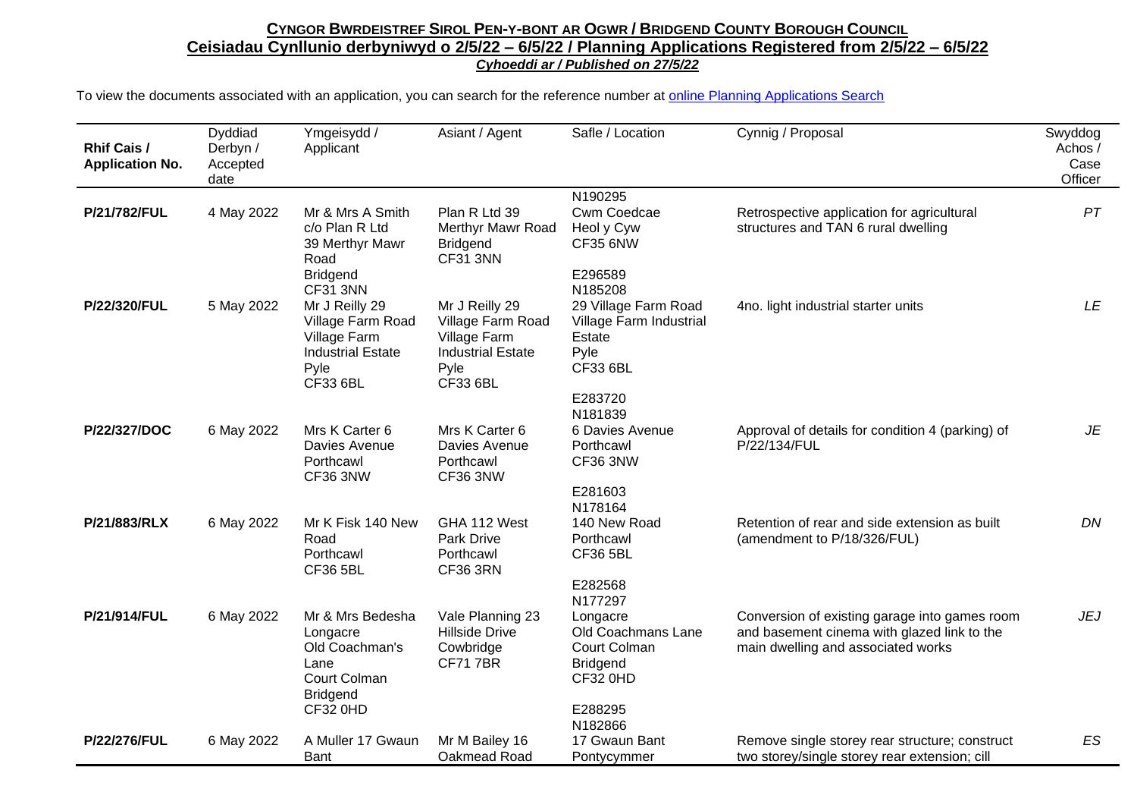| Rhif Cais /<br><b>Application No.</b> | Dyddiad<br>Derbyn /<br>Accepted<br>date | Ymgeisydd /<br>Applicant                                                                                        | Asiant / Agent                                                                                      | Safle / Location                                                                                           | Cynnig / Proposal                                                                                                                  | Swyddog<br>Achos/<br>Case<br>Officer |
|---------------------------------------|-----------------------------------------|-----------------------------------------------------------------------------------------------------------------|-----------------------------------------------------------------------------------------------------|------------------------------------------------------------------------------------------------------------|------------------------------------------------------------------------------------------------------------------------------------|--------------------------------------|
| P/21/782/FUL                          | 4 May 2022                              | Mr & Mrs A Smith<br>c/o Plan R Ltd<br>39 Merthyr Mawr<br>Road<br><b>Bridgend</b>                                | Plan R Ltd 39<br>Merthyr Mawr Road<br><b>Bridgend</b><br>CF31 3NN                                   | N190295<br>Cwm Coedcae<br>Heol y Cyw<br><b>CF35 6NW</b><br>E296589                                         | Retrospective application for agricultural<br>structures and TAN 6 rural dwelling                                                  | PT                                   |
| P/22/320/FUL                          | 5 May 2022                              | CF31 3NN<br>Mr J Reilly 29<br>Village Farm Road<br>Village Farm<br><b>Industrial Estate</b><br>Pyle<br>CF33 6BL | Mr J Reilly 29<br>Village Farm Road<br>Village Farm<br><b>Industrial Estate</b><br>Pyle<br>CF33 6BL | N185208<br>29 Village Farm Road<br>Village Farm Industrial<br>Estate<br>Pyle<br><b>CF33 6BL</b><br>E283720 | 4no. light industrial starter units                                                                                                | LE                                   |
| P/22/327/DOC                          | 6 May 2022                              | Mrs K Carter 6<br>Davies Avenue<br>Porthcawl<br>CF36 3NW                                                        | Mrs K Carter 6<br>Davies Avenue<br>Porthcawl<br>CF36 3NW                                            | N181839<br>6 Davies Avenue<br>Porthcawl<br>CF36 3NW<br>E281603                                             | Approval of details for condition 4 (parking) of<br>P/22/134/FUL                                                                   | JE                                   |
| P/21/883/RLX                          | 6 May 2022                              | Mr K Fisk 140 New<br>Road<br>Porthcawl<br><b>CF36 5BL</b>                                                       | GHA 112 West<br><b>Park Drive</b><br>Porthcawl<br><b>CF36 3RN</b>                                   | N178164<br>140 New Road<br>Porthcawl<br><b>CF36 5BL</b><br>E282568<br>N177297                              | Retention of rear and side extension as built<br>(amendment to P/18/326/FUL)                                                       | DN                                   |
| P/21/914/FUL                          | 6 May 2022                              | Mr & Mrs Bedesha<br>Longacre<br>Old Coachman's<br>Lane<br>Court Colman<br><b>Bridgend</b><br>CF32 0HD           | Vale Planning 23<br><b>Hillside Drive</b><br>Cowbridge<br><b>CF717BR</b>                            | Longacre<br>Old Coachmans Lane<br>Court Colman<br><b>Bridgend</b><br>CF32 0HD<br>E288295<br>N182866        | Conversion of existing garage into games room<br>and basement cinema with glazed link to the<br>main dwelling and associated works | <b>JEJ</b>                           |
| P/22/276/FUL                          | 6 May 2022                              | A Muller 17 Gwaun<br>Bant                                                                                       | Mr M Bailey 16<br>Oakmead Road                                                                      | 17 Gwaun Bant<br>Pontycymmer                                                                               | Remove single storey rear structure; construct<br>two storey/single storey rear extension; cill                                    | ES                                   |